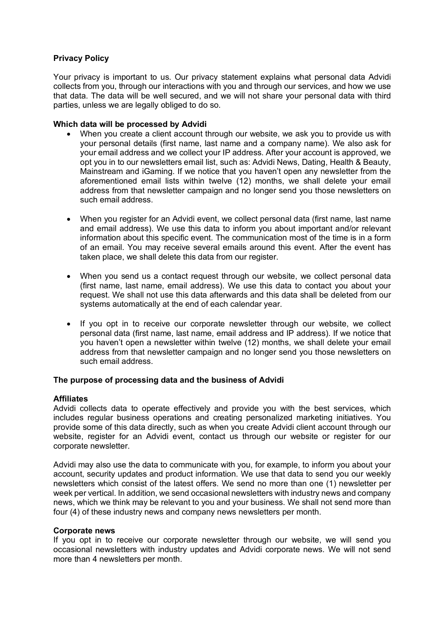# **Privacy Policy**

Your privacy is important to us. Our privacy statement explains what personal data Advidi collects from you, through our interactions with you and through our services, and how we use that data. The data will be well secured, and we will not share your personal data with third parties, unless we are legally obliged to do so.

## **Which data will be processed by Advidi**

- When you create a client account through our website, we ask you to provide us with your personal details (first name, last name and a company name). We also ask for your email address and we collect your IP address. After your account is approved, we opt you in to our newsletters email list, such as: Advidi News, Dating, Health & Beauty, Mainstream and iGaming. If we notice that you haven't open any newsletter from the aforementioned email lists within twelve (12) months, we shall delete your email address from that newsletter campaign and no longer send you those newsletters on such email address.
- When you register for an Advidi event, we collect personal data (first name, last name and email address). We use this data to inform you about important and/or relevant information about this specific event. The communication most of the time is in a form of an email. You may receive several emails around this event. After the event has taken place, we shall delete this data from our register.
- When you send us a contact request through our website, we collect personal data (first name, last name, email address). We use this data to contact you about your request. We shall not use this data afterwards and this data shall be deleted from our systems automatically at the end of each calendar year.
- If you opt in to receive our corporate newsletter through our website, we collect personal data (first name, last name, email address and IP address). If we notice that you haven't open a newsletter within twelve (12) months, we shall delete your email address from that newsletter campaign and no longer send you those newsletters on such email address.

## **The purpose of processing data and the business of Advidi**

#### **Affiliates**

Advidi collects data to operate effectively and provide you with the best services, which includes regular business operations and creating personalized marketing initiatives. You provide some of this data directly, such as when you create Advidi client account through our website, register for an Advidi event, contact us through our website or register for our corporate newsletter.

Advidi may also use the data to communicate with you, for example, to inform you about your account, security updates and product information. We use that data to send you our weekly newsletters which consist of the latest offers. We send no more than one (1) newsletter per week per vertical. In addition, we send occasional newsletters with industry news and company news, which we think may be relevant to you and your business. We shall not send more than four (4) of these industry news and company news newsletters per month.

#### **Corporate news**

If you opt in to receive our corporate newsletter through our website, we will send you occasional newsletters with industry updates and Advidi corporate news. We will not send more than 4 newsletters per month.